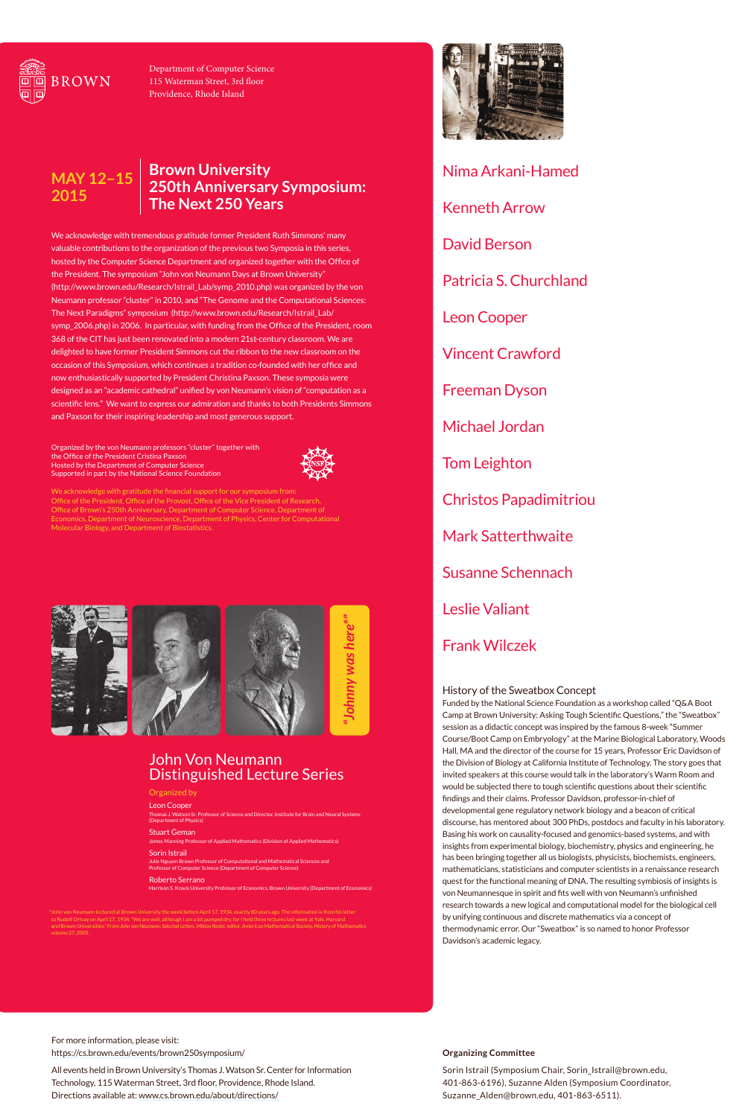We acknowledge with tremendous gratitude former President Ruth Simmons' many valuable contributions to the organization of the previous two Symposia in this series, hosted by the Computer Science Department and organized together with the Office of the President. The symposium "John von Neumann Days at Brown University" (http://www.brown.edu/Research/Istrail\_Lab/symp\_2010.php) was organized by the von Neumann professor "cluster" in 2010, and "The Genome and the Computational Sciences: The Next Paradigms" symposium (http://www.brown.edu/Research/Istrail\_Lab/ symp\_2006.php) in 2006. In particular, with funding from the Office of the President, room 368 of the CIT has just been renovated into a modern 21st-century classroom. We are delighted to have former President Simmons cut the ribbon to the new classroom on the occasion of this Symposium, which continues a tradition co-founded with her office and now enthusiastically supported by President Christina Paxson. These symposia were designed as an "academic cathedral" unified by von Neumann's vision of "computation as a scientific lens." We want to express our admiration and thanks to both Presidents Simmons and Paxson for their inspiring leadership and most generous support.

Organized by the von Neumann professors "cluster" together with the Office of the President Cristina Paxson Hosted by the Department of Computer Science





## Supported in part by the National Science Foundation

We acknowledge with gratitude the financial support for our symposium from: Office of the President, Office of the Provost, Office of the Vice President of Research, Office of Brown's 250th Anniversary, Department of Computer Science, Department of Economics, Department of Neuroscience, Department of Physics, Center for Computational Molecular Biology, and Department of Biostatistics.

### **Brown University 250th Anniversary Symposium: The Next 250 Years MAY 12–15 2015**

For more information, please visit: https://cs.brown.edu/events/brown250symposium/

All events held in Brown University's Thomas J. Watson Sr. Center for Information Technology, 115 Waterman Street, 3rd floor, Providence, Rhode Island. Directions available at: www.cs.brown.edu/about/directions/

### **Organizing Committee**

Sorin Istrail (Symposium Chair, Sorin\_Istrail@brown.edu, 401-863-6196), Suzanne Alden (Symposium Coordinator, Suzanne\_Alden@brown.edu, 401-863-6511).

Nima Arkani-Hamed Kenneth Arrow David Berson Patricia S. Churchland Leon Cooper Vincent Crawford Freeman Dyson Michael Jordan

Tom Leighton

Christos Papadimitriou

Mark Satterthwaite

Susanne Schennach

# Leslie Valiant

# Frank Wilczek



Department of Computer Science 115 Waterman Street, 3rd floor Providence, Rhode Island

# John Von Neumann Distinguished Lecture Series

### Organized by

#### Leon Cooper

Thomas J. Watson Sr. Professor of Science and Director, Institute for Brain and Neural Systems (Department of Physics)

Stuart Geman

James Manning Professor of Applied Mathematics (Division of Applied Mathematics)

#### Sorin Istrail

Julie Nguyen Brown Professor of Computational and Mathematical Sciences and Professor of Computer Science (Department of Computer Science)

#### Roberto Serrano



\*John von Neumann lectured at Brown University the week before April 17, 1934, exactly 80 years ago. The information is from his letter to Rudolf Ortvay on April 17, 1934. "We are well, although I am a bit pumped dry, for I held three lectures last week at Yale, Harvard and Brown Universities." From *John von Neumann: Selected Letters*, Miklos Redei, editor, American Mathematical Society, History of Mathematics



## History of the Sweatbox Concept

Funded by the National Science Foundation as a workshop called "Q&A Boot Camp at Brown University: Asking Tough Scientific Questions," the "Sweatbox" session as a didactic concept was inspired by the famous 8-week "Summer Course/Boot Camp on Embryology" at the Marine Biological Laboratory, Woods Hall, MA and the director of the course for 15 years, Professor Eric Davidson of the Division of Biology at California Institute of Technology. The story goes that invited speakers at this course would talk in the laboratory's Warm Room and would be subjected there to tough scientific questions about their scientific findings and their claims. Professor Davidson, professor-in-chief of developmental gene regulatory network biology and a beacon of critical discourse, has mentored about 300 PhDs, postdocs and faculty in his laboratory. Basing his work on causality-focused and genomics-based systems, and with insights from experimental biology, biochemistry, physics and engineering, he has been bringing together all us biologists, physicists, biochemists, engineers, mathematicians, statisticians and computer scientists in a renaissance research quest for the functional meaning of DNA. The resulting symbiosis of insights is von Neumannesque in spirit and fits well with von Neumann's unfinished research towards a new logical and computational model for the biological cell by unifying continuous and discrete mathematics via a concept of thermodynamic error. Our "Sweatbox" is so named to honor Professor

### Davidson's academic legacy.